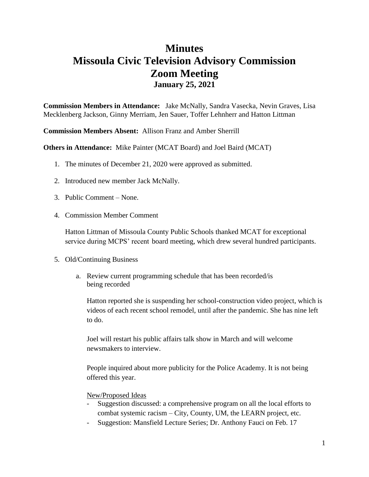## **Minutes Missoula Civic Television Advisory Commission Zoom Meeting January 25, 2021**

**Commission Members in Attendance:** Jake McNally, Sandra Vasecka, Nevin Graves, Lisa Mecklenberg Jackson, Ginny Merriam, Jen Sauer, Toffer Lehnherr and Hatton Littman

**Commission Members Absent:** Allison Franz and Amber Sherrill

**Others in Attendance:** Mike Painter (MCAT Board) and Joel Baird (MCAT)

- 1. The minutes of December 21, 2020 were approved as submitted.
- 2. Introduced new member Jack McNally.
- 3. Public Comment None.
- 4. Commission Member Comment

Hatton Littman of Missoula County Public Schools thanked MCAT for exceptional service during MCPS' recent board meeting, which drew several hundred participants.

- 5. Old/Continuing Business
	- a. Review current programming schedule that has been recorded/is being recorded

Hatton reported she is suspending her school-construction video project, which is videos of each recent school remodel, until after the pandemic. She has nine left to do.

Joel will restart his public affairs talk show in March and will welcome newsmakers to interview.

People inquired about more publicity for the Police Academy. It is not being offered this year.

New/Proposed Ideas

- Suggestion discussed: a comprehensive program on all the local efforts to combat systemic racism – City, County, UM, the LEARN project, etc.
- Suggestion: Mansfield Lecture Series; Dr. Anthony Fauci on Feb. 17